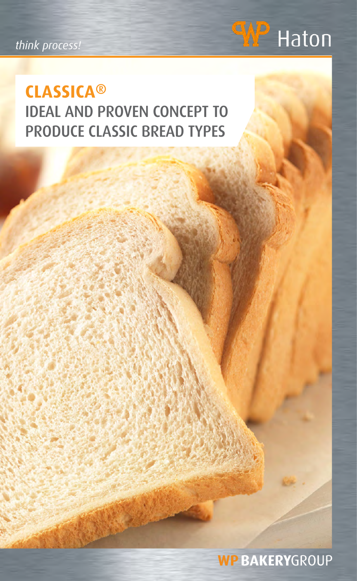*think process!*



## **CLASSICA®** IDEAL AND PROVEN CONCEPT TO PRODUCE CLASSIC BREAD TYPES

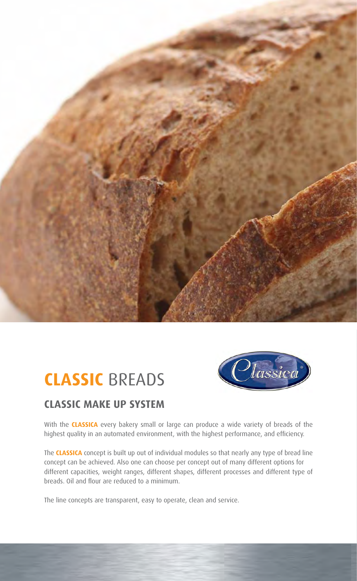

## **CLASSIC** BREADS



#### **CLASSIC MAKE UP SYSTEM**

With the **CLASSICA** every bakery small or large can produce a wide variety of breads of the highest quality in an automated environment, with the highest performance, and efficiency.

The **CLASSICA** concept is built up out of individual modules so that nearly any type of bread line concept can be achieved. Also one can choose per concept out of many different options for different capacities, weight ranges, different shapes, different processes and different type of breads. Oil and flour are reduced to a minimum.

The line concepts are transparent, easy to operate, clean and service.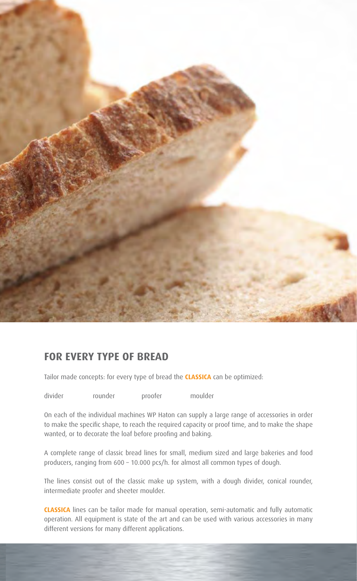

#### **FOR EVERY TYPE OF BREAD**

Tailor made concepts: for every type of bread the **CLASSICA** can be optimized:

divider rounder proofer moulder

On each of the individual machines WP Haton can supply a large range of accessories in order to make the specific shape, to reach the required capacity or proof time, and to make the shape wanted, or to decorate the loaf before proofing and baking.

A complete range of classic bread lines for small, medium sized and large bakeries and food producers, ranging from 600 – 10.000 pcs/h. for almost all common types of dough.

The lines consist out of the classic make up system, with a dough divider, conical rounder, intermediate proofer and sheeter moulder.

**CLASSICA** lines can be tailor made for manual operation, semi-automatic and fully automatic operation. All equipment is state of the art and can be used with various accessories in many different versions for many different applications.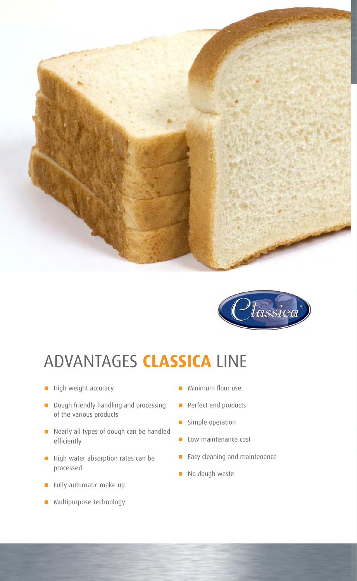



## ADVANTAGES **CLASSICA** LINE

- $\blacksquare$  High weight accuracy
- **n** Dough friendly handling and processing of the various products
- n Nearly all types of dough can be handled efficiently
- High water absorption rates can be processed
- **n** Fully automatic make up
- **n** Multipurpose technology
- n Minimum flour use
- **n** Perfect end products
- **n** Simple operation
- **n** Low maintenance cost
- **n** Easy cleaning and maintenance
- $\blacksquare$  No dough waste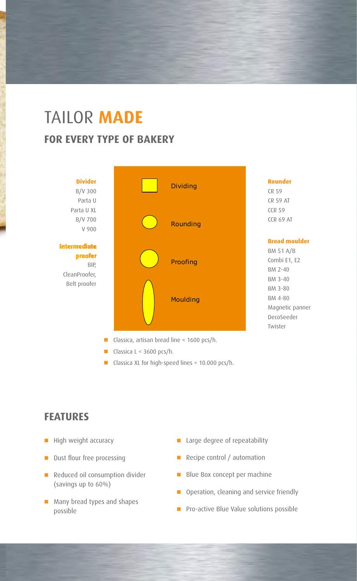## TAILOR **MADE FOR EVERY TYPE OF BAKERY**



- Classica, artisan bread line  $\leq 1600$  pcs/h.
- Classica L < 3600 pcs/h.
- Classica XL for high-speed lines < 10.000 pcs/h.

#### **FEATURES**

- **n** High weight accuracy
- **n** Dust flour free processing
- Reduced oil consumption divider (savings up to 60%)
- Many bread types and shapes possible
- **n** Large degree of repeatability
- **n** Recipe control / automation
- **n** Blue Box concept per machine
- **n** Operation, cleaning and service friendly
- **n** Pro-active Blue Value solutions possible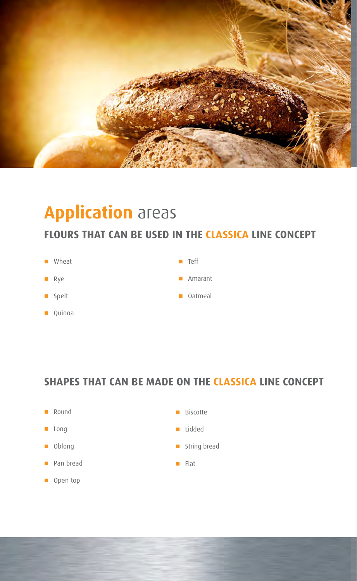

## **Application** areas

#### **FLOURS THAT CAN BE USED IN THE CLASSICA LINE CONCEPT**

- **n** Wheat
- n Rye
- **n** Spelt
- $\Box$  Quinoa
- n Teff
- **n** Amarant
- **n** Oatmeal

#### **SHAPES THAT CAN BE MADE ON THE CLASSICA LINE CONCEPT**

- **n** Round
- **n** Long
- **n** Oblong
- **n** Pan bread
- **n** Open top
- **n** Biscotte
- n Lidded
- **n** String bread
- $\blacksquare$  Flat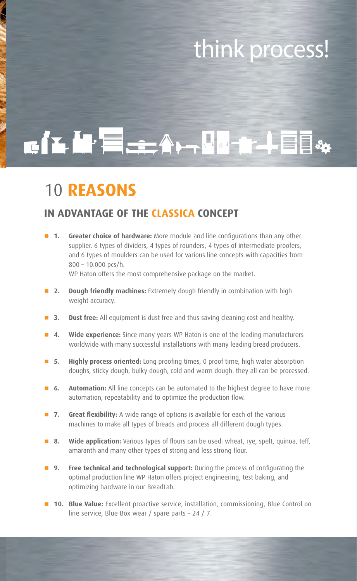## think process!

# CILLE-A-LI-FIE

## 10 **REASONS**

#### **IN ADVANTAGE OF THE CLASSICA CONCEPT**

**1. Greater choice of hardware:** More module and line configurations than any other supplier. 6 types of dividers, 4 types of rounders, 4 types of intermediate proofers, and 6 types of moulders can be used for various line concepts with capacities from 800 – 10.000 pcs/h.

WP Haton offers the most comprehensive package on the market.

- **n** 2. Dough friendly machines: Extremely dough friendly in combination with high weight accuracy.
- **B** 3. Dust free: All equipment is dust free and thus saving cleaning cost and healthy.
- n **4. Wide experience:** Since many years WP Haton is one of the leading manufacturers worldwide with many successful installations with many leading bread producers.
- **F** 5. Highly process oriented: Long proofing times, 0 proof time, high water absorption doughs, sticky dough, bulky dough, cold and warm dough. they all can be processed.
- **6. Automation:** All line concepts can be automated to the highest degree to have more automation, repeatability and to optimize the production flow.
- 7. Great flexibility: A wide range of options is available for each of the various machines to make all types of breads and process all different dough types.
- **8. Wide application:** Various types of flours can be used: wheat, rye, spelt, quinoa, teff, amaranth and many other types of strong and less strong flour.
- **n** 9. Free technical and technological support: During the process of configurating the optimal production line WP Haton offers project engineering, test baking, and optimizing hardware in our BreadLab.
- **10. Blue Value:** Excellent proactive service, installation, commissioning, Blue Control on line service, Blue Box wear / spare parts – 24 / 7.